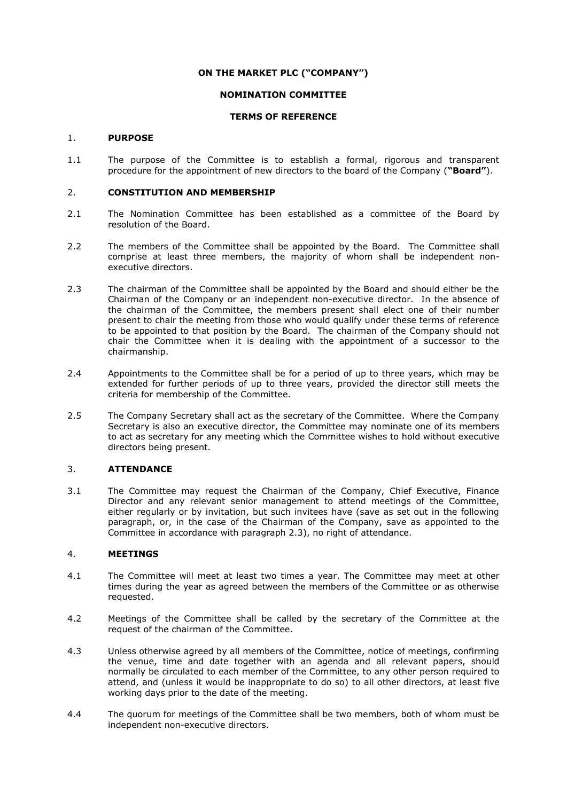## **ON THE MARKET PLC ("COMPANY")**

# **NOMINATION COMMITTEE**

### **TERMS OF REFERENCE**

#### 1. **PURPOSE**

1.1 The purpose of the Committee is to establish a formal, rigorous and transparent procedure for the appointment of new directors to the board of the Company (**"Board"**).

#### 2. **CONSTITUTION AND MEMBERSHIP**

- 2.1 The Nomination Committee has been established as a committee of the Board by resolution of the Board.
- 2.2 The members of the Committee shall be appointed by the Board. The Committee shall comprise at least three members, the majority of whom shall be independent nonexecutive directors.
- 2.3 The chairman of the Committee shall be appointed by the Board and should either be the Chairman of the Company or an independent non-executive director. In the absence of the chairman of the Committee, the members present shall elect one of their number present to chair the meeting from those who would qualify under these terms of reference to be appointed to that position by the Board. The chairman of the Company should not chair the Committee when it is dealing with the appointment of a successor to the chairmanship.
- 2.4 Appointments to the Committee shall be for a period of up to three years, which may be extended for further periods of up to three years, provided the director still meets the criteria for membership of the Committee.
- 2.5 The Company Secretary shall act as the secretary of the Committee. Where the Company Secretary is also an executive director, the Committee may nominate one of its members to act as secretary for any meeting which the Committee wishes to hold without executive directors being present.

### 3. **ATTENDANCE**

3.1 The Committee may request the Chairman of the Company, Chief Executive, Finance Director and any relevant senior management to attend meetings of the Committee, either regularly or by invitation, but such invitees have (save as set out in the following paragraph, or, in the case of the Chairman of the Company, save as appointed to the Committee in accordance with paragraph 2.3), no right of attendance.

### 4. **MEETINGS**

- 4.1 The Committee will meet at least two times a year. The Committee may meet at other times during the year as agreed between the members of the Committee or as otherwise requested.
- 4.2 Meetings of the Committee shall be called by the secretary of the Committee at the request of the chairman of the Committee.
- 4.3 Unless otherwise agreed by all members of the Committee, notice of meetings, confirming the venue, time and date together with an agenda and all relevant papers, should normally be circulated to each member of the Committee, to any other person required to attend, and (unless it would be inappropriate to do so) to all other directors, at least five working days prior to the date of the meeting.
- 4.4 The quorum for meetings of the Committee shall be two members, both of whom must be independent non-executive directors.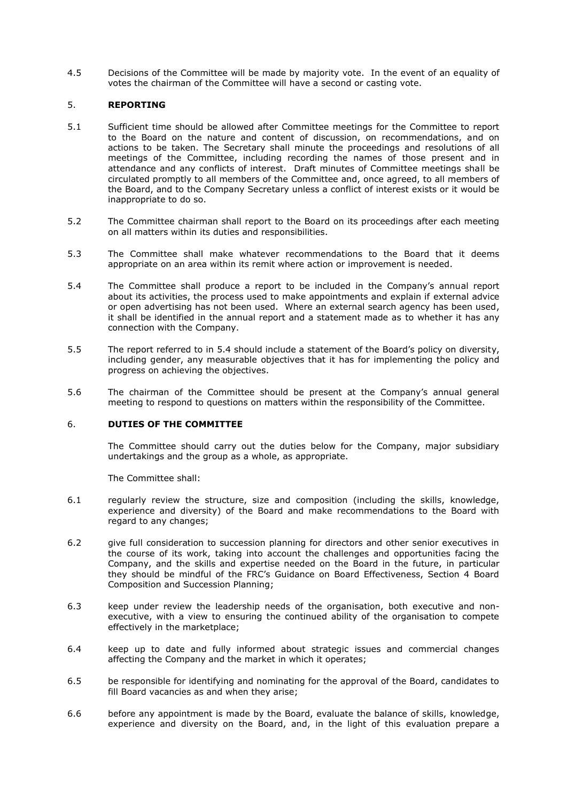4.5 Decisions of the Committee will be made by majority vote. In the event of an equality of votes the chairman of the Committee will have a second or casting vote.

### 5. **REPORTING**

- 5.1 Sufficient time should be allowed after Committee meetings for the Committee to report to the Board on the nature and content of discussion, on recommendations, and on actions to be taken. The Secretary shall minute the proceedings and resolutions of all meetings of the Committee, including recording the names of those present and in attendance and any conflicts of interest. Draft minutes of Committee meetings shall be circulated promptly to all members of the Committee and, once agreed, to all members of the Board, and to the Company Secretary unless a conflict of interest exists or it would be inappropriate to do so.
- 5.2 The Committee chairman shall report to the Board on its proceedings after each meeting on all matters within its duties and responsibilities.
- 5.3 The Committee shall make whatever recommendations to the Board that it deems appropriate on an area within its remit where action or improvement is needed.
- <span id="page-1-0"></span>5.4 The Committee shall produce a report to be included in the Company's annual report about its activities, the process used to make appointments and explain if external advice or open advertising has not been used. Where an external search agency has been used, it shall be identified in the annual report and a statement made as to whether it has any connection with the Company.
- 5.5 The report referred to in [5.4](#page-1-0) should include a statement of the Board's policy on diversity, including gender, any measurable objectives that it has for implementing the policy and progress on achieving the objectives.
- 5.6 The chairman of the Committee should be present at the Company's annual general meeting to respond to questions on matters within the responsibility of the Committee.

# 6. **DUTIES OF THE COMMITTEE**

The Committee should carry out the duties below for the Company, major subsidiary undertakings and the group as a whole, as appropriate.

The Committee shall:

- 6.1 regularly review the structure, size and composition (including the skills, knowledge, experience and diversity) of the Board and make recommendations to the Board with regard to any changes;
- 6.2 give full consideration to succession planning for directors and other senior executives in the course of its work, taking into account the challenges and opportunities facing the Company, and the skills and expertise needed on the Board in the future, in particular they should be mindful of the FRC's Guidance on Board Effectiveness, Section 4 Board Composition and Succession Planning;
- 6.3 keep under review the leadership needs of the organisation, both executive and nonexecutive, with a view to ensuring the continued ability of the organisation to compete effectively in the marketplace;
- 6.4 keep up to date and fully informed about strategic issues and commercial changes affecting the Company and the market in which it operates;
- 6.5 be responsible for identifying and nominating for the approval of the Board, candidates to fill Board vacancies as and when they arise;
- 6.6 before any appointment is made by the Board, evaluate the balance of skills, knowledge, experience and diversity on the Board, and, in the light of this evaluation prepare a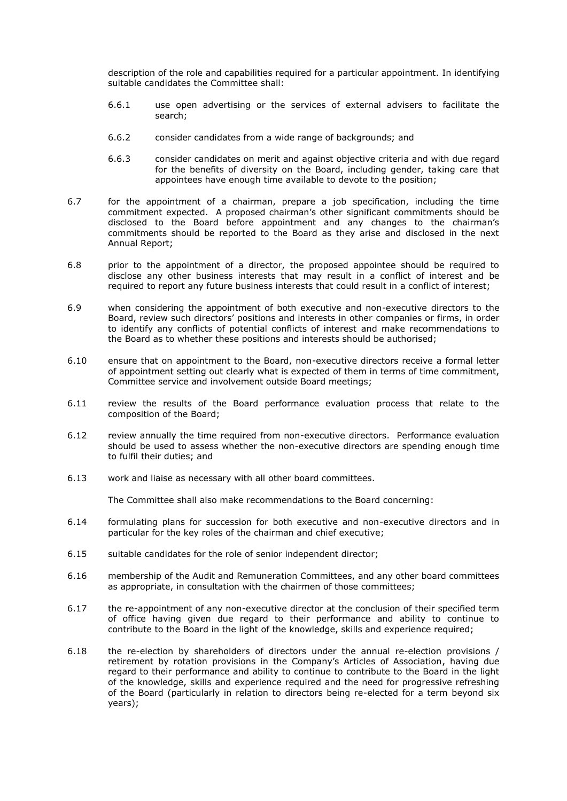description of the role and capabilities required for a particular appointment. In identifying suitable candidates the Committee shall:

- 6.6.1 use open advertising or the services of external advisers to facilitate the search;
- 6.6.2 consider candidates from a wide range of backgrounds; and
- 6.6.3 consider candidates on merit and against objective criteria and with due regard for the benefits of diversity on the Board, including gender, taking care that appointees have enough time available to devote to the position;
- 6.7 for the appointment of a chairman, prepare a job specification, including the time commitment expected. A proposed chairman's other significant commitments should be disclosed to the Board before appointment and any changes to the chairman's commitments should be reported to the Board as they arise and disclosed in the next Annual Report;
- 6.8 prior to the appointment of a director, the proposed appointee should be required to disclose any other business interests that may result in a conflict of interest and be required to report any future business interests that could result in a conflict of interest;
- 6.9 when considering the appointment of both executive and non-executive directors to the Board, review such directors' positions and interests in other companies or firms, in order to identify any conflicts of potential conflicts of interest and make recommendations to the Board as to whether these positions and interests should be authorised;
- 6.10 ensure that on appointment to the Board, non-executive directors receive a formal letter of appointment setting out clearly what is expected of them in terms of time commitment, Committee service and involvement outside Board meetings;
- 6.11 review the results of the Board performance evaluation process that relate to the composition of the Board;
- 6.12 review annually the time required from non-executive directors. Performance evaluation should be used to assess whether the non-executive directors are spending enough time to fulfil their duties; and
- 6.13 work and liaise as necessary with all other board committees.

The Committee shall also make recommendations to the Board concerning:

- 6.14 formulating plans for succession for both executive and non-executive directors and in particular for the key roles of the chairman and chief executive;
- 6.15 suitable candidates for the role of senior independent director;
- 6.16 membership of the Audit and Remuneration Committees, and any other board committees as appropriate, in consultation with the chairmen of those committees;
- 6.17 the re-appointment of any non-executive director at the conclusion of their specified term of office having given due regard to their performance and ability to continue to contribute to the Board in the light of the knowledge, skills and experience required;
- 6.18 the re-election by shareholders of directors under the annual re-election provisions / retirement by rotation provisions in the Company's Articles of Association, having due regard to their performance and ability to continue to contribute to the Board in the light of the knowledge, skills and experience required and the need for progressive refreshing of the Board (particularly in relation to directors being re-elected for a term beyond six years);